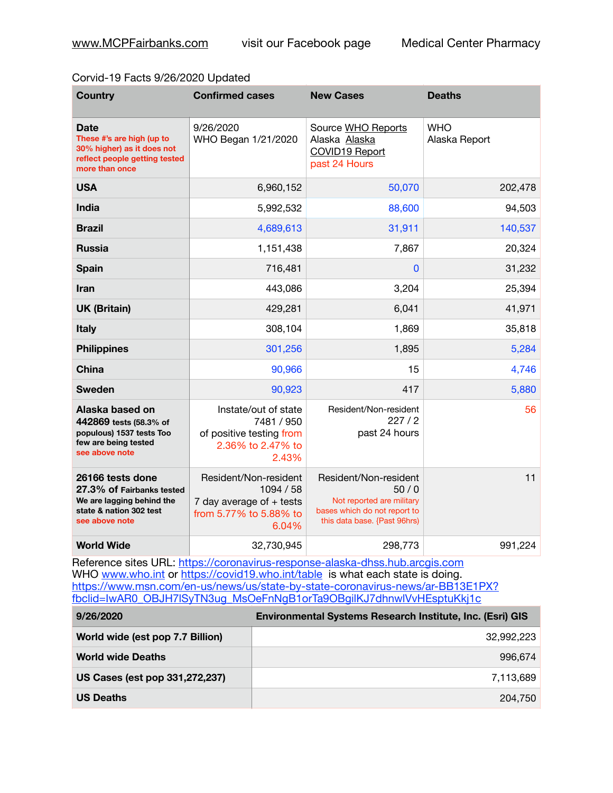## Corvid-19 Facts 9/26/2020 Updated

| <b>Country</b>                                                                                                            | <b>Confirmed cases</b>                                                                              | <b>New Cases</b>                                                                                                           | <b>Deaths</b>               |
|---------------------------------------------------------------------------------------------------------------------------|-----------------------------------------------------------------------------------------------------|----------------------------------------------------------------------------------------------------------------------------|-----------------------------|
| <b>Date</b><br>These #'s are high (up to<br>30% higher) as it does not<br>reflect people getting tested<br>more than once | 9/26/2020<br>WHO Began 1/21/2020                                                                    | Source WHO Reports<br>Alaska Alaska<br>COVID19 Report<br>past 24 Hours                                                     | <b>WHO</b><br>Alaska Report |
| <b>USA</b>                                                                                                                | 6,960,152                                                                                           | 50,070                                                                                                                     | 202,478                     |
| <b>India</b>                                                                                                              | 5,992,532                                                                                           | 88,600                                                                                                                     | 94,503                      |
| <b>Brazil</b>                                                                                                             | 4,689,613                                                                                           | 31,911                                                                                                                     | 140,537                     |
| <b>Russia</b>                                                                                                             | 1,151,438                                                                                           | 7,867                                                                                                                      | 20,324                      |
| <b>Spain</b>                                                                                                              | 716,481                                                                                             | $\mathbf{0}$                                                                                                               | 31,232                      |
| <b>Iran</b>                                                                                                               | 443,086                                                                                             | 3,204                                                                                                                      | 25,394                      |
| <b>UK (Britain)</b>                                                                                                       | 429,281                                                                                             | 6,041                                                                                                                      | 41,971                      |
| <b>Italy</b>                                                                                                              | 308,104                                                                                             | 1,869                                                                                                                      | 35,818                      |
| <b>Philippines</b>                                                                                                        | 301,256                                                                                             | 1,895                                                                                                                      | 5,284                       |
| China                                                                                                                     | 90,966                                                                                              | 15                                                                                                                         | 4,746                       |
| <b>Sweden</b>                                                                                                             | 90,923                                                                                              | 417                                                                                                                        | 5,880                       |
| Alaska based on<br>442869 tests (58.3% of<br>populous) 1537 tests Too<br>few are being tested<br>see above note           | Instate/out of state<br>7481 / 950<br>of positive testing from<br>2.36% to 2.47% to<br>2.43%        | Resident/Non-resident<br>227/2<br>past 24 hours                                                                            | 56                          |
| 26166 tests done<br>27.3% of Fairbanks tested<br>We are lagging behind the<br>state & nation 302 test<br>see above note   | Resident/Non-resident<br>1094 / 58<br>7 day average of $+$ tests<br>from 5.77% to 5.88% to<br>6.04% | Resident/Non-resident<br>50/0<br>Not reported are military<br>bases which do not report to<br>this data base. {Past 96hrs) | 11                          |
| <b>World Wide</b>                                                                                                         | 32,730,945                                                                                          | 298,773                                                                                                                    | 991,224                     |

Reference sites URL: <https://coronavirus-response-alaska-dhss.hub.arcgis.com> WHO [www.who.int](http://www.who.int) or <https://covid19.who.int/table> is what each state is doing. [https://www.msn.com/en-us/news/us/state-by-state-coronavirus-news/ar-BB13E1PX?](https://www.msn.com/en-us/news/us/state-by-state-coronavirus-news/ar-BB13E1PX?fbclid=IwAR0_OBJH7lSyTN3ug_MsOeFnNgB1orTa9OBgilKJ7dhnwlVvHEsptuKkj1c) [fbclid=IwAR0\\_OBJH7lSyTN3ug\\_MsOeFnNgB1orTa9OBgilKJ7dhnwlVvHEsptuKkj1c](https://www.msn.com/en-us/news/us/state-by-state-coronavirus-news/ar-BB13E1PX?fbclid=IwAR0_OBJH7lSyTN3ug_MsOeFnNgB1orTa9OBgilKJ7dhnwlVvHEsptuKkj1c)

| 9/26/2020                        | Environmental Systems Research Institute, Inc. (Esri) GIS |
|----------------------------------|-----------------------------------------------------------|
| World wide (est pop 7.7 Billion) | 32.992.223                                                |
| <b>World wide Deaths</b>         | 996.674                                                   |
| US Cases (est pop 331,272,237)   | 7,113,689                                                 |
| <b>US Deaths</b>                 | 204.750                                                   |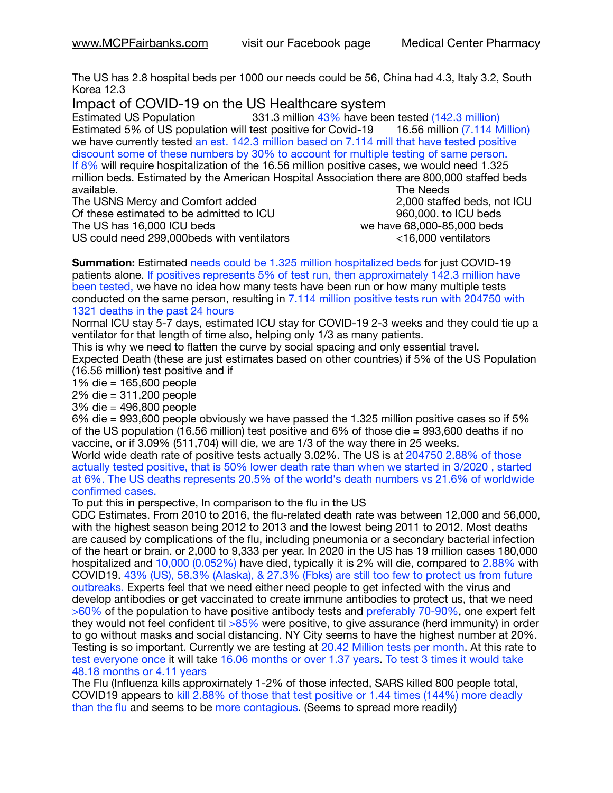The US has 2.8 hospital beds per 1000 our needs could be 56, China had 4.3, Italy 3.2, South Korea 12.3

Impact of COVID-19 on the US Healthcare system<br>Estimated US Population 331.3 million 43% have bee

331.3 million 43% have been tested (142.3 million) Estimated 5% of US population will test positive for Covid-19 16.56 million (7.114 Million) we have currently tested an est. 142.3 million based on 7.114 mill that have tested positive discount some of these numbers by 30% to account for multiple testing of same person. If 8% will require hospitalization of the 16.56 million positive cases, we would need 1.325 million beds. Estimated by the American Hospital Association there are 800,000 staffed beds available. **The Needs Contract Contract Contract Contract Contract Contract Contract Contract Contract Contract Contract Contract Contract Contract Contract Contract Contract Contract Contract Contract Contract Contract** 

The USNS Mercy and Comfort added 2,000 staffed beds, not ICU Of these estimated to be admitted to ICU **860,000**. to ICU beds The US has  $16,000$  ICU beds  $\sim$   $\sim$   $\sim$   $\sim$   $\sim$  we have 68,000-85,000 beds US could need 299,000beds with ventilators <16,000 ventilators

**Summation:** Estimated needs could be 1.325 million hospitalized beds for just COVID-19 patients alone. If positives represents 5% of test run, then approximately 142.3 million have been tested, we have no idea how many tests have been run or how many multiple tests conducted on the same person, resulting in 7.114 million positive tests run with 204750 with 1321 deaths in the past 24 hours

Normal ICU stay 5-7 days, estimated ICU stay for COVID-19 2-3 weeks and they could tie up a ventilator for that length of time also, helping only 1/3 as many patients.

This is why we need to flatten the curve by social spacing and only essential travel. Expected Death (these are just estimates based on other countries) if 5% of the US Population (16.56 million) test positive and if

1% die = 165,600 people

2% die = 311,200 people

3% die = 496,800 people

6% die = 993,600 people obviously we have passed the 1.325 million positive cases so if 5% of the US population (16.56 million) test positive and 6% of those die = 993,600 deaths if no vaccine, or if 3.09% (511,704) will die, we are 1/3 of the way there in 25 weeks.

World wide death rate of positive tests actually 3.02%. The US is at 204750 2.88% of those actually tested positive, that is 50% lower death rate than when we started in 3/2020 , started at 6%. The US deaths represents 20.5% of the world's death numbers vs 21.6% of worldwide confirmed cases.

To put this in perspective, In comparison to the flu in the US

CDC Estimates. From 2010 to 2016, the flu-related death rate was between 12,000 and 56,000, with the highest season being 2012 to 2013 and the lowest being 2011 to 2012. Most deaths are caused by complications of the flu, including pneumonia or a secondary bacterial infection of the heart or brain. or 2,000 to 9,333 per year. In 2020 in the US has 19 million cases 180,000 hospitalized and 10,000 (0.052%) have died, typically it is 2% will die, compared to 2.88% with COVID19. 43% (US), 58.3% (Alaska), & 27.3% (Fbks) are still too few to protect us from future outbreaks. Experts feel that we need either need people to get infected with the virus and develop antibodies or get vaccinated to create immune antibodies to protect us, that we need >60% of the population to have positive antibody tests and preferably 70-90%, one expert felt they would not feel confident til >85% were positive, to give assurance (herd immunity) in order to go without masks and social distancing. NY City seems to have the highest number at 20%. Testing is so important. Currently we are testing at 20.42 Million tests per month. At this rate to test everyone once it will take 16.06 months or over 1.37 years. To test 3 times it would take 48.18 months or 4.11 years

The Flu (Influenza kills approximately 1-2% of those infected, SARS killed 800 people total, COVID19 appears to kill 2.88% of those that test positive or 1.44 times (144%) more deadly than the flu and seems to be more contagious. (Seems to spread more readily)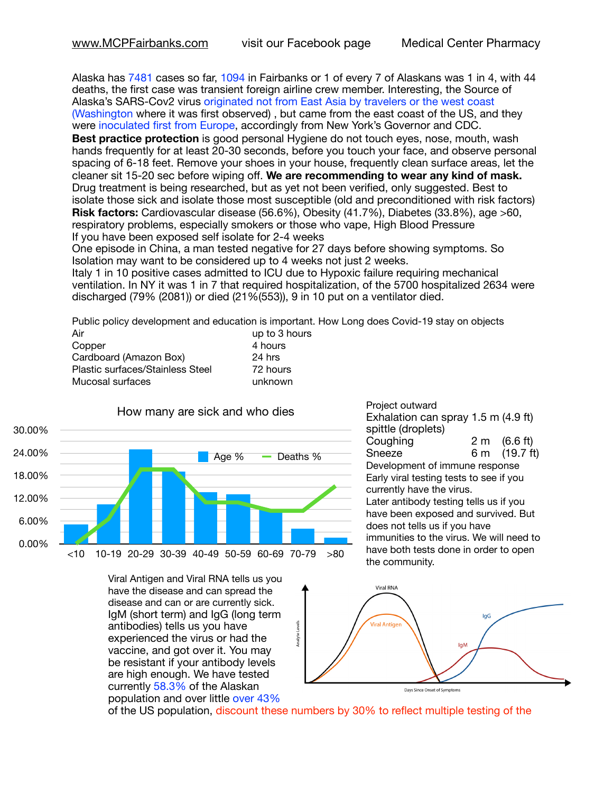Alaska has 7481 cases so far, 1094 in Fairbanks or 1 of every 7 of Alaskans was 1 in 4, with 44 deaths, the first case was transient foreign airline crew member. Interesting, the Source of Alaska's SARS-Cov2 virus originated not from East Asia by travelers or the west coast (Washington where it was first observed) , but came from the east coast of the US, and they were inoculated first from Europe, accordingly from New York's Governor and CDC.

**Best practice protection** is good personal Hygiene do not touch eyes, nose, mouth, wash hands frequently for at least 20-30 seconds, before you touch your face, and observe personal spacing of 6-18 feet. Remove your shoes in your house, frequently clean surface areas, let the cleaner sit 15-20 sec before wiping off. **We are recommending to wear any kind of mask.** Drug treatment is being researched, but as yet not been verified, only suggested. Best to isolate those sick and isolate those most susceptible (old and preconditioned with risk factors) **Risk factors:** Cardiovascular disease (56.6%), Obesity (41.7%), Diabetes (33.8%), age >60, respiratory problems, especially smokers or those who vape, High Blood Pressure If you have been exposed self isolate for 2-4 weeks

One episode in China, a man tested negative for 27 days before showing symptoms. So Isolation may want to be considered up to 4 weeks not just 2 weeks.

Italy 1 in 10 positive cases admitted to ICU due to Hypoxic failure requiring mechanical ventilation. In NY it was 1 in 7 that required hospitalization, of the 5700 hospitalized 2634 were discharged (79% (2081)) or died (21%(553)), 9 in 10 put on a ventilator died.

Public policy development and education is important. How Long does Covid-19 stay on objects to  $3$  hours

| Air                              | up to 3 no |
|----------------------------------|------------|
| Copper                           | 4 hours    |
| Cardboard (Amazon Box)           | 24 hrs     |
| Plastic surfaces/Stainless Steel | 72 hours   |
| Mucosal surfaces                 | unknown    |
|                                  |            |



Viral Antigen and Viral RNA tells us you have the disease and can spread the disease and can or are currently sick. IgM (short term) and IgG (long term antibodies) tells us you have experienced the virus or had the vaccine, and got over it. You may be resistant if your antibody levels are high enough. We have tested currently 58.3% of the Alaskan population and over little over 43%

Project outward Exhalation can spray 1.5 m (4.9 ft) spittle (droplets) Coughing 2 m (6.6 ft)<br>Sneeze 6 m (19.7 ft) 6 m  $(19.7 \text{ ft})$ Development of immune response Early viral testing tests to see if you currently have the virus. Later antibody testing tells us if you have been exposed and survived. But does not tells us if you have immunities to the virus. We will need to have both tests done in order to open the community.



of the US population, discount these numbers by 30% to reflect multiple testing of the